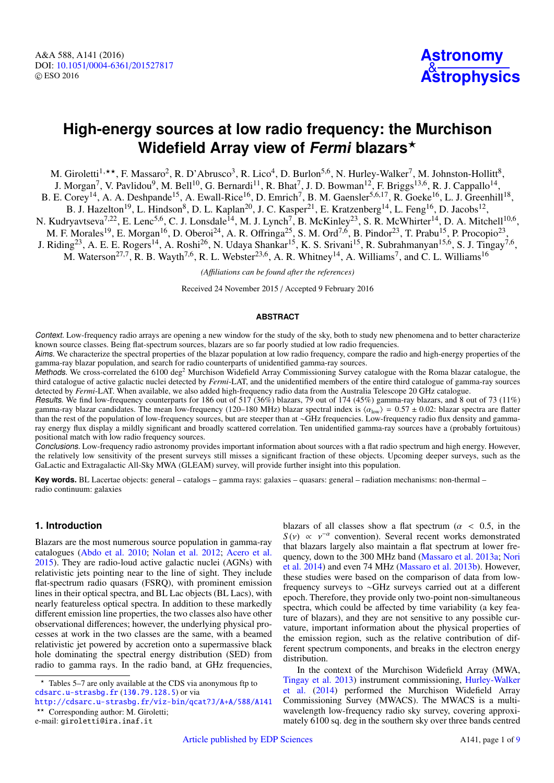# **High-energy sources at low radio frequency: the Murchison Widefield Array view of Fermi blazars**?

M. Giroletti<sup>1,\*\*</sup>, F. Massaro<sup>2</sup>, R. D'Abrusco<sup>3</sup>, R. Lico<sup>4</sup>, D. Burlon<sup>5,6</sup>, N. Hurley-Walker<sup>7</sup>, M. Johnston-Hollitt<sup>8</sup>, J. Morgan<sup>7</sup>, V. Pavlidou<sup>9</sup>, M. Bell<sup>10</sup>, G. Bernardi<sup>11</sup>, R. Bhat<sup>7</sup>, J. D. Bowman<sup>12</sup>, F. Briggs<sup>13,6</sup>, R. J. Cappallo<sup>14</sup>, B. E. Corey<sup>14</sup>, A. A. Deshpande<sup>15</sup>, A. Ewall-Rice<sup>16</sup>, D. Emrich<sup>7</sup>, B. M. Gaensler<sup>5,6,17</sup>, R. Goeke<sup>16</sup>, L. J. Greenhill<sup>18</sup>, B. J. Hazelton<sup>19</sup>, L. Hindson<sup>8</sup>, D. L. Kaplan<sup>20</sup>, J. C. Kasper<sup>21</sup>, E. Kratzenberg<sup>14</sup>, L. Feng<sup>16</sup>, D. Jacobs<sup>12</sup>, N. Kudryavtseva<sup>7,22</sup>, E. Lenc<sup>5,6</sup>, C. J. Lonsdale<sup>14</sup>, M. J. Lynch<sup>7</sup>, B. McKinley<sup>23</sup>, S. R. McWhirter<sup>14</sup>, D. A. Mitchell<sup>10,6</sup>, M. F. Morales<sup>19</sup>, E. Morgan<sup>16</sup>, D. Oberoi<sup>24</sup>, A. R. Offringa<sup>25</sup>, S. M. Ord<sup>7,6</sup>, B. Pindor<sup>23</sup>, T. Prabu<sup>15</sup>, P. Procopio<sup>23</sup>, J. Riding<sup>23</sup>, A. E. E. Rogers<sup>14</sup>, A. Roshi<sup>26</sup>, N. Udaya Shankar<sup>15</sup>, K. S. Srivani<sup>15</sup>, R. Subrahmanyan<sup>15,6</sup>, S. J. Tingay<sup>7,6</sup>, M. Waterson<sup>27,7</sup>, R. B. Wayth<sup>7,6</sup>, R. L. Webster<sup>23,6</sup>, A. R. Whitney<sup>14</sup>, A. Williams<sup>7</sup>, and C. L. Williams<sup>16</sup>

*(A*ffi*liations can be found after the references)*

Received 24 November 2015 / Accepted 9 February 2016

# **ABSTRACT**

Context. Low-frequency radio arrays are opening a new window for the study of the sky, both to study new phenomena and to better characterize known source classes. Being flat-spectrum sources, blazars are so far poorly studied at low radio frequencies.

Aims. We characterize the spectral properties of the blazar population at low radio frequency, compare the radio and high-energy properties of the gamma-ray blazar population, and search for radio counterparts of unidentified gamma-ray sources.

Methods. We cross-correlated the 6100 deg<sup>2</sup> Murchison Widefield Array Commissioning Survey catalogue with the Roma blazar catalogue, the third catalogue of active galactic nuclei detected by *Fermi*-LAT, and the unidentified members of the entire third catalogue of gamma-ray sources detected by *Fermi*-LAT. When available, we also added high-frequency radio data from the Australia Telescope 20 GHz catalogue.

Results. We find low-frequency counterparts for 186 out of 517 (36%) blazars, 79 out of 174 (45%) gamma-ray blazars, and 8 out of 73 (11%) gamma-ray blazar candidates. The mean low-frequency (120–180 MHz) blazar spectral index is  $\langle \alpha_{low} \rangle = 0.57 \pm 0.02$ : blazar spectra are flatter than the rest of the population of low-frequency sources, but are steeper than at ∼GHz frequencies. Low-frequency radio flux density and gammaray energy flux display a mildly significant and broadly scattered correlation. Ten unidentified gamma-ray sources have a (probably fortuitous) positional match with low radio frequency sources.

Conclusions. Low-frequency radio astronomy provides important information about sources with a flat radio spectrum and high energy. However, the relatively low sensitivity of the present surveys still misses a significant fraction of these objects. Upcoming deeper surveys, such as the GaLactic and Extragalactic All-Sky MWA (GLEAM) survey, will provide further insight into this population.

**Key words.** BL Lacertae objects: general – catalogs – gamma rays: galaxies – quasars: general – radiation mechanisms: non-thermal – radio continuum: galaxies

# **1. Introduction**

Blazars are the most numerous source population in gamma-ray catalogues [\(Abdo et al.](#page-7-0) [2010;](#page-7-0) [Nolan et al.](#page-8-0) [2012;](#page-8-0) [Acero et al.](#page-7-1) [2015\)](#page-7-1). They are radio-loud active galactic nuclei (AGNs) with relativistic jets pointing near to the line of sight. They include flat-spectrum radio quasars (FSRQ), with prominent emission lines in their optical spectra, and BL Lac objects (BL Lacs), with nearly featureless optical spectra. In addition to these markedly different emission line properties, the two classes also have other observational differences; however, the underlying physical processes at work in the two classes are the same, with a beamed relativistic jet powered by accretion onto a supermassive black hole dominating the spectral energy distribution (SED) from radio to gamma rays. In the radio band, at GHz frequencies,

<http://cdsarc.u-strasbg.fr/viz-bin/qcat?J/A+A/588/A141> \*\* Corresponding author: M. Giroletti;

e-mail: giroletti@ira.inaf.it

blazars of all classes show a flat spectrum ( $\alpha$  < 0.5, in the  $S(v) \propto v^{-\alpha}$  convention). Several recent works demonstrated that blazars largely also maintain a flat spectrum at lower frethat blazars largely also maintain a flat spectrum at lower frequency, down to the 300 MHz band [\(Massaro et al.](#page-8-1) [2013a;](#page-8-1) [Nori](#page-8-2) [et al.](#page-8-2) [2014\)](#page-8-2) and even 74 MHz [\(Massaro et al.](#page-8-3) [2013b\)](#page-8-3). However, these studies were based on the comparison of data from lowfrequency surveys to ∼GHz surveys carried out at a different epoch. Therefore, they provide only two-point non-simultaneous spectra, which could be affected by time variability (a key feature of blazars), and they are not sensitive to any possible curvature, important information about the physical properties of the emission region, such as the relative contribution of different spectrum components, and breaks in the electron energy distribution.

In the context of the Murchison Widefield Array (MWA, [Tingay et al.](#page-8-4) [2013\)](#page-8-4) instrument commissioning, [Hurley-Walker](#page-7-2) [et al.](#page-7-2) [\(2014\)](#page-7-2) performed the Murchison Widefield Array Commissioning Survey (MWACS). The MWACS is a multiwavelength low-frequency radio sky survey, covering approximately 6100 sq. deg in the southern sky over three bands centred

<sup>?</sup> Tables 5–7 are only available at the CDS via anonymous ftp to [cdsarc.u-strasbg.fr](http://cdsarc.u-strasbg.fr) ([130.79.128.5](ftp://130.79.128.5)) or via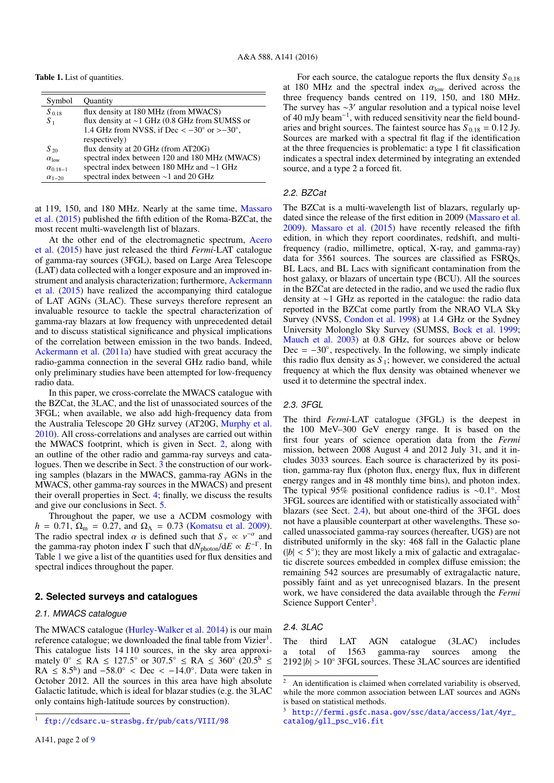<span id="page-1-1"></span>Table 1. List of quantities.

| Symbol                | <b>Ouantity</b>                                                       |
|-----------------------|-----------------------------------------------------------------------|
| $S_{.018}$            | flux density at 180 MHz (from MWACS)                                  |
| $S_{\perp}$           | flux density at $\sim$ 1 GHz (0.8 GHz from SUMSS or                   |
|                       | 1.4 GHz from NVSS, if Dec $\langle -30^\circ \text{ or } -30^\circ$ , |
|                       | respectively)                                                         |
| $S_{20}$              | flux density at 20 GHz (from AT20G)                                   |
| $\alpha_{\text{low}}$ | spectral index between 120 and 180 MHz (MWACS)                        |
| $\alpha_{0.18-1}$     | spectral index between 180 MHz and $\sim$ 1 GHz                       |
| $\alpha_{1-20}$       | spectral index between $\sim$ 1 and 20 GHz                            |

at 119, 150, and 180 MHz. Nearly at the same time, [Massaro](#page-8-6) [et al.](#page-8-6) [\(2015\)](#page-8-6) published the fifth edition of the Roma-BZCat, the most recent multi-wavelength list of blazars.

At the other end of the electromagnetic spectrum, [Acero](#page-7-1) [et al.](#page-7-1) [\(2015\)](#page-7-1) have just released the third *Fermi*-LAT catalogue of gamma-ray sources (3FGL), based on Large Area Telescope (LAT) data collected with a longer exposure and an improved instrument and analysis characterization; furthermore, [Ackermann](#page-7-3) [et al.](#page-7-3) [\(2015\)](#page-7-3) have realized the accompanying third catalogue of LAT AGNs (3LAC). These surveys therefore represent an invaluable resource to tackle the spectral characterization of gamma-ray blazars at low frequency with unprecedented detail and to discuss statistical significance and physical implications of the correlation between emission in the two bands. Indeed, [Ackermann et al.](#page-7-4) [\(2011a\)](#page-7-4) have studied with great accuracy the radio-gamma connection in the several GHz radio band, while only preliminary studies have been attempted for low-frequency radio data.

In this paper, we cross-correlate the MWACS catalogue with the BZCat, the 3LAC, and the list of unassociated sources of the 3FGL; when available, we also add high-frequency data from the Australia Telescope 20 GHz survey (AT20G, [Murphy et al.](#page-8-7) [2010\)](#page-8-7). All cross-correlations and analyses are carried out within the MWACS footprint, which is given in Sect. [2,](#page-1-0) along with an outline of the other radio and gamma-ray surveys and cata-logues. Then we describe in Sect. [3](#page-2-0) the construction of our working samples (blazars in the MWACS, gamma-ray AGNs in the MWACS, other gamma-ray sources in the MWACS) and present their overall properties in Sect. [4;](#page-3-0) finally, we discuss the results and give our conclusions in Sect. [5.](#page-6-0)

Throughout the paper, we use a ΛCDM cosmology with *h* = 0.71,  $\Omega_{\rm m}$  = 0.27, and  $\Omega_{\Lambda}$  = 0.73 [\(Komatsu et al.](#page-7-5) [2009\)](#page-7-5). The radio spectral index  $\alpha$  is defined such that  $S_{\gamma} \propto \gamma^{-\alpha}$  and the gamma-ray photon index  $\Gamma$  such that  $dN_{\text{other}}/dE \propto E^{-\Gamma}$  In the gamma-ray photon index Γ such that  $dN_{photon}/dE \propto E^{-\Gamma}$ . In Table [1](#page-1-1) we give a list of the quantities used for flux densities and spectral indices throughout the paper.

# <span id="page-1-2"></span><span id="page-1-0"></span>**2. Selected surveys and catalogues**

#### 2.1. MWACS catalogue

The MWACS catalogue [\(Hurley-Walker et al.](#page-7-2) [2014\)](#page-7-2) is our main reference catalogue; we downloaded the final table from Vizier<sup>[1](#page-1-2)</sup>. This catalogue lists 14 110 sources, in the sky area approximately  $0^\circ \le RA \le 127.5^\circ$  or  $307.5^\circ \le RA \le 360^\circ$  (20.5<sup>h</sup>  $\le$  RA  $\le$  8.5<sup>h</sup>) and -58.0°  $\lt$  Dec  $\lt$  -14.0° Data were taken in RA  $\leq 8.5^{\text{h}}$ ) and  $-58.0^{\circ} < \text{Dec } < -14.0^{\circ}$ . Data were taken in October 2012. All the sources in this area have high absolute October 2012. All the sources in this area have high absolute Galactic latitude, which is ideal for blazar studies (e.g. the 3LAC only contains high-latitude sources by construction).

For each source, the catalogue reports the flux density  $S_{0.18}$ at 180 MHz and the spectral index  $\alpha_{\text{low}}$  derived across the three frequency bands centred on 119, 150, and 180 MHz. The survey has ~3' angular resolution and a typical noise level of 40 mJy beam−<sup>1</sup> , with reduced sensitivity near the field boundaries and bright sources. The faintest source has  $S_{0.18} = 0.12$  Jy. Sources are marked with a spectral fit flag if the identification at the three frequencies is problematic: a type 1 fit classification indicates a spectral index determined by integrating an extended source, and a type 2 a forced fit.

## 2.2. BZCat

The BZCat is a multi-wavelength list of blazars, regularly updated since the release of the first edition in 2009 [\(Massaro et al.](#page-8-8) [2009\)](#page-8-8). [Massaro et al.](#page-8-6) [\(2015\)](#page-8-6) have recently released the fifth edition, in which they report coordinates, redshift, and multifrequency (radio, millimetre, optical, X-ray, and gamma-ray) data for 3561 sources. The sources are classified as FSRQs, BL Lacs, and BL Lacs with significant contamination from the host galaxy, or blazars of uncertain type (BCU). All the sources in the BZCat are detected in the radio, and we used the radio flux density at ∼1 GHz as reported in the catalogue: the radio data reported in the BZCat come partly from the NRAO VLA Sky Survey (NVSS, [Condon et al.](#page-7-6) [1998\)](#page-7-6) at 1.4 GHz or the Sydney University Molonglo Sky Survey (SUMSS, [Bock et al.](#page-7-7) [1999;](#page-7-7) [Mauch et al.](#page-8-9) [2003\)](#page-8-9) at 0.8 GHz, for sources above or below Dec =  $-30^\circ$ , respectively. In the following, we simply indicate this radio flux density as  $S_1$ ; however, we considered the actual frequency at which the flux density was obtained whenever we used it to determine the spectral index.

## 2.3. 3FGL

The third *Fermi*-LAT catalogue (3FGL) is the deepest in the 100 MeV–300 GeV energy range. It is based on the first four years of science operation data from the *Fermi* mission, between 2008 August 4 and 2012 July 31, and it includes 3033 sources. Each source is characterized by its position, gamma-ray flux (photon flux, energy flux, flux in different energy ranges and in 48 monthly time bins), and photon index. The typical 95% positional confidence radius is ~0.1°. Most<br>3FGL sources are identified with or statistically associated with<sup>2</sup> 3FGL sources are identified with or statistically associated with<sup>[2](#page-1-3)</sup> blazars (see Sect. [2.4\)](#page-1-4), but about one-third of the 3FGL does not have a plausible counterpart at other wavelengths. These socalled unassociated gamma-ray sources (hereafter, UGS) are not distributed uniformly in the sky: 468 fall in the Galactic plane  $(|b| < 5^\circ)$ ; they are most likely a mix of galactic and extragalactic discrete sources embedded in complex diffuse emission; the tic discrete sources embedded in complex diffuse emission; the remaining 542 sources are presumably of extragalactic nature, possibly faint and as yet unrecognised blazars. In the present work, we have considered the data available through the *Fermi* Science Support Center<sup>[3](#page-1-5)</sup>.

# <span id="page-1-5"></span><span id="page-1-4"></span><span id="page-1-3"></span>2.4. 3LAC

The third LAT AGN catalogue (3LAC) includes a total of 1563 gamma-ray sources among the  $2192 |b| > 10°$  3FGL sources. These 3LAC sources are identified

<sup>1</sup> <ftp://cdsarc.u-strasbg.fr/pub/cats/VIII/98>

<sup>2</sup> An identification is claimed when correlated variability is observed, while the more common association between LAT sources and AGNs is based on statistical methods.

<sup>3</sup> [http://fermi.gsfc.nasa.gov/ssc/data/access/lat/4yr\\_](http://fermi.gsfc.nasa.gov/ssc/data/access/lat/4yr_catalog/gll_psc_v16.fit) [catalog/gll\\_psc\\_v16.fit](http://fermi.gsfc.nasa.gov/ssc/data/access/lat/4yr_catalog/gll_psc_v16.fit)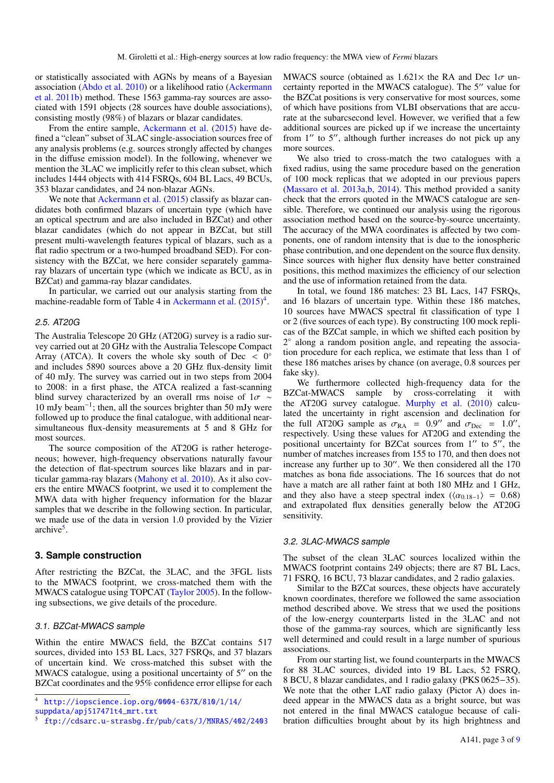or statistically associated with AGNs by means of a Bayesian association [\(Abdo et al.](#page-7-0) [2010\)](#page-7-0) or a likelihood ratio [\(Ackermann](#page-7-8) [et al.](#page-7-8) [2011b\)](#page-7-8) method. These 1563 gamma-ray sources are associated with 1591 objects (28 sources have double associations), consisting mostly (98%) of blazars or blazar candidates.

From the entire sample, [Ackermann et al.](#page-7-3) [\(2015\)](#page-7-3) have defined a "clean" subset of 3LAC single-association sources free of any analysis problems (e.g. sources strongly affected by changes in the diffuse emission model). In the following, whenever we mention the 3LAC we implicitly refer to this clean subset, which includes 1444 objects with 414 FSRQs, 604 BL Lacs, 49 BCUs, 353 blazar candidates, and 24 non-blazar AGNs.

We note that [Ackermann et al.](#page-7-3) [\(2015\)](#page-7-3) classify as blazar candidates both confirmed blazars of uncertain type (which have an optical spectrum and are also included in BZCat) and other blazar candidates (which do not appear in BZCat, but still present multi-wavelength features typical of blazars, such as a flat radio spectrum or a two-humped broadband SED). For consistency with the BZCat, we here consider separately gammaray blazars of uncertain type (which we indicate as BCU, as in BZCat) and gamma-ray blazar candidates.

In particular, we carried out our analysis starting from the machine-readable form of Table 4 in [Ackermann et al.](#page-7-3)  $(2015)^4$  $(2015)^4$  $(2015)^4$ .

### 2.5. AT20G

The Australia Telescope 20 GHz (AT20G) survey is a radio survey carried out at 20 GHz with the Australia Telescope Compact Array (ATCA). It covers the whole sky south of Dec  $\leq 0^{\circ}$  and includes 5890 sources above a 20 GHz flux-density limit and includes 5890 sources above a 20 GHz flux-density limit of 40 mJy. The survey was carried out in two steps from 2004 to 2008: in a first phase, the ATCA realized a fast-scanning blind survey characterized by an overall rms noise of  $1\sigma \sim$ 10 mJy beam<sup>−</sup><sup>1</sup> ; then, all the sources brighter than 50 mJy were followed up to produce the final catalogue, with additional nearsimultaneous flux-density measurements at 5 and 8 GHz for most sources.

The source composition of the AT20G is rather heterogeneous; however, high-frequency observations naturally favour the detection of flat-spectrum sources like blazars and in particular gamma-ray blazars [\(Mahony et al.](#page-8-10) [2010\)](#page-8-10). As it also covers the entire MWACS footprint, we used it to complement the MWA data with higher frequency information for the blazar samples that we describe in the following section. In particular, we made use of the data in version 1.0 provided by the Vizier archive<sup>[5](#page-2-2)</sup>.

# <span id="page-2-0"></span>**3. Sample construction**

<span id="page-2-2"></span><span id="page-2-1"></span>After restricting the BZCat, the 3LAC, and the 3FGL lists to the MWACS footprint, we cross-matched them with the MWACS catalogue using TOPCAT [\(Taylor](#page-8-11) [2005\)](#page-8-11). In the following subsections, we give details of the procedure.

# <span id="page-2-3"></span>3.1. BZCat-MWACS sample

Within the entire MWACS field, the BZCat contains 517 sources, divided into 153 BL Lacs, 327 FSRQs, and 37 blazars of uncertain kind. We cross-matched this subset with the MWACS catalogue, using a positional uncertainty of  $5$ <sup> $\prime\prime$ </sup> on the BZCat coordinates and the 95% confidence error ellipse for each

MWACS source (obtained as  $1.621\times$  the RA and Dec  $1\sigma$  uncertainty reported in the MWACS catalogue). The 5" value for the BZCat positions is very conservative for most sources, some of which have positions from VLBI observations that are accurate at the subarcsecond level. However, we verified that a few additional sources are picked up if we increase the uncertainty from  $1''$  to  $5''$ , although further increases do not pick up any more sources.

We also tried to cross-match the two catalogues with a fixed radius, using the same procedure based on the generation of 100 mock replicas that we adopted in our previous papers [\(Massaro et al.](#page-8-1) [2013a,](#page-8-1)[b,](#page-8-3) [2014\)](#page-8-12). This method provided a sanity check that the errors quoted in the MWACS catalogue are sensible. Therefore, we continued our analysis using the rigorous association method based on the source-by-source uncertainty. The accuracy of the MWA coordinates is affected by two components, one of random intensity that is due to the ionospheric phase contribution, and one dependent on the source flux density. Since sources with higher flux density have better constrained positions, this method maximizes the efficiency of our selection and the use of information retained from the data.

In total, we found 186 matches: 23 BL Lacs, 147 FSRQs, and 16 blazars of uncertain type. Within these 186 matches, 10 sources have MWACS spectral fit classification of type 1 or 2 (five sources of each type). By constructing 100 mock replicas of the BZCat sample, in which we shifted each position by 2 ◦ along a random position angle, and repeating the association procedure for each replica, we estimate that less than 1 of these 186 matches arises by chance (on average, 0.8 sources per fake sky).

We furthermore collected high-frequency data for the BZCat-MWACS sample by cross-correlating it with the AT20G survey catalogue. [Murphy et al.](#page-8-7) [\(2010\)](#page-8-7) calculated the uncertainty in right ascension and declination for the full AT20G sample as  $\sigma_{\text{RA}} = 0.9''$  and  $\sigma_{\text{Dec}} = 1.0''$ ,<br>respectively Using these values for AT20G and extending the respectively. Using these values for AT20G and extending the positional uncertainty for BZCat sources from  $1''$  to  $5''$ , the number of matches increases from 155 to 170, and then does not increase any further up to  $30''$ . We then considered all the  $170$ matches as bona fide associations. The 16 sources that do not have a match are all rather faint at both 180 MHz and 1 GHz, and they also have a steep spectral index  $(\langle \alpha_{0.18-1} \rangle = 0.68)$ and extrapolated flux densities generally below the AT20G sensitivity.

#### 3.2. 3LAC-MWACS sample

The subset of the clean 3LAC sources localized within the MWACS footprint contains 249 objects; there are 87 BL Lacs, 71 FSRQ, 16 BCU, 73 blazar candidates, and 2 radio galaxies.

Similar to the BZCat sources, these objects have accurately known coordinates, therefore we followed the same association method described above. We stress that we used the positions of the low-energy counterparts listed in the 3LAC and not those of the gamma-ray sources, which are significantly less well determined and could result in a large number of spurious associations.

From our starting list, we found counterparts in the MWACS for 88 3LAC sources, divided into 19 BL Lacs, 52 FSRQ, 8 BCU, 8 blazar candidates, and 1 radio galaxy (PKS 0625−35). We note that the other LAT radio galaxy (Pictor A) does indeed appear in the MWACS data as a bright source, but was not entered in the final MWACS catalogue because of calibration difficulties brought about by its high brightness and

<sup>4</sup> [http://iopscience.iop.org/0004-637X/810/1/14/](http://iopscience.iop.org/0004-637X/810/1/14/suppdata/apj517471t4_mrt.txt)

[suppdata/apj517471t4\\_mrt.txt](http://iopscience.iop.org/0004-637X/810/1/14/suppdata/apj517471t4_mrt.txt)

<sup>5</sup> <ftp://cdsarc.u-strasbg.fr/pub/cats/J/MNRAS/402/2403>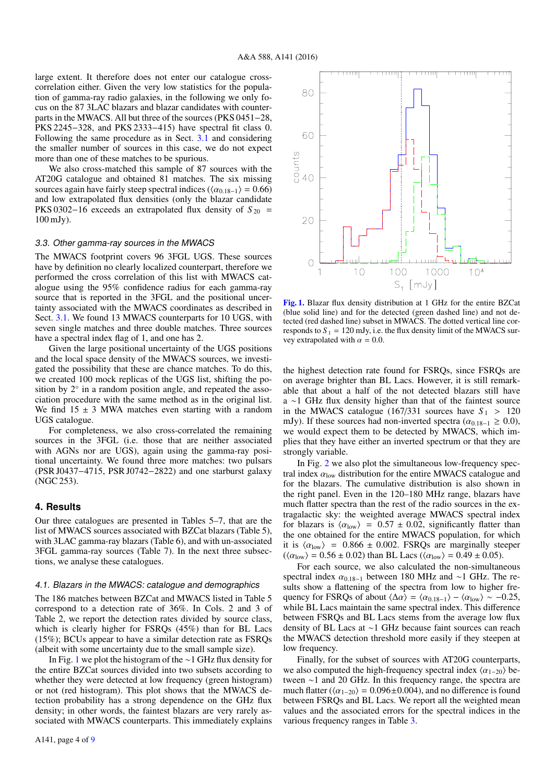large extent. It therefore does not enter our catalogue crosscorrelation either. Given the very low statistics for the population of gamma-ray radio galaxies, in the following we only focus on the 87 3LAC blazars and blazar candidates with counterparts in the MWACS. All but three of the sources (PKS 0451−28, PKS 2245−328, and PKS 2333−415) have spectral fit class 0. Following the same procedure as in Sect. [3.1](#page-2-3) and considering the smaller number of sources in this case, we do not expect more than one of these matches to be spurious.

We also cross-matched this sample of 87 sources with the AT20G catalogue and obtained 81 matches. The six missing sources again have fairly steep spectral indices ( $\langle \alpha_{0.18-1} \rangle = 0.66$ ) and low extrapolated flux densities (only the blazar candidate PKS 0302−16 exceeds an extrapolated flux density of  $S_{20}$  = 100 mJy).

#### 3.3. Other gamma-ray sources in the MWACS

The MWACS footprint covers 96 3FGL UGS. These sources have by definition no clearly localized counterpart, therefore we performed the cross correlation of this list with MWACS catalogue using the 95% confidence radius for each gamma-ray source that is reported in the 3FGL and the positional uncertainty associated with the MWACS coordinates as described in Sect. [3.1.](#page-2-3) We found 13 MWACS counterparts for 10 UGS, with seven single matches and three double matches. Three sources have a spectral index flag of 1, and one has 2.

Given the large positional uncertainty of the UGS positions and the local space density of the MWACS sources, we investigated the possibility that these are chance matches. To do this, we created 100 mock replicas of the UGS list, shifting the position by  $2^\circ$  in a random position angle, and repeated the association procedure with the same method as in the original list. We find  $15 \pm 3$  MWA matches even starting with a random UGS catalogue.

For completeness, we also cross-correlated the remaining sources in the 3FGL (i.e. those that are neither associated with AGNs nor are UGS), again using the gamma-ray positional uncertainty. We found three more matches: two pulsars (PSR J0437−4715, PSR J0742−2822) and one starburst galaxy (NGC 253).

## <span id="page-3-0"></span>**4. Results**

Our three catalogues are presented in Tables 5–7, that are the list of MWACS sources associated with BZCat blazars (Table 5), with 3LAC gamma-ray blazars (Table 6), and with un-associated 3FGL gamma-ray sources (Table 7). In the next three subsections, we analyse these catalogues.

#### <span id="page-3-2"></span>4.1. Blazars in the MWACS: catalogue and demographics

The 186 matches between BZCat and MWACS listed in Table 5 correspond to a detection rate of 36%. In Cols. 2 and 3 of Table 2, we report the detection rates divided by source class, which is clearly higher for FSRQs (45%) than for BL Lacs (15%); BCUs appear to have a similar detection rate as FSRQs (albeit with some uncertainty due to the small sample size).

In Fig. [1](#page-3-1) we plot the histogram of the ∼1 GHz flux density for the entire BZCat sources divided into two subsets according to whether they were detected at low frequency (green histogram) or not (red histogram). This plot shows that the MWACS detection probability has a strong dependence on the GHz flux density; in other words, the faintest blazars are very rarely associated with MWACS counterparts. This immediately explains

<span id="page-3-1"></span>

[Fig. 1.](http://dexter.edpsciences.org/applet.php?DOI=10.1051/0004-6361/201527817&pdf_id=1) Blazar flux density distribution at 1 GHz for the entire BZCat (blue solid line) and for the detected (green dashed line) and not detected (red dashed line) subset in MWACS. The dotted vertical line corresponds to  $S_1 = 120$  mJy, i.e. the flux density limit of the MWACS survey extrapolated with  $\alpha = 0.0$ .

the highest detection rate found for FSRQs, since FSRQs are on average brighter than BL Lacs. However, it is still remarkable that about a half of the not detected blazars still have a ∼1 GHz flux density higher than that of the faintest source in the MWACS catalogue  $(167/331)$  sources have  $S_1 > 120$ mJy). If these sources had non-inverted spectra ( $\alpha_{0.18-1} \geq 0.0$ ), we would expect them to be detected by MWACS, which implies that they have either an inverted spectrum or that they are strongly variable.

In Fig. [2](#page-4-0) we also plot the simultaneous low-frequency spectral index  $\alpha_{\text{low}}$  distribution for the entire MWACS catalogue and for the blazars. The cumulative distribution is also shown in the right panel. Even in the 120–180 MHz range, blazars have much flatter spectra than the rest of the radio sources in the extragalactic sky: the weighted average MWACS spectral index for blazars is  $\langle \alpha_{\text{low}} \rangle = 0.57 \pm 0.02$ , significantly flatter than the one obtained for the entire MWACS population, for which it is  $\langle \alpha_{\text{low}} \rangle$  = 0.866 ± 0.002. FSRQs are marginally steeper  $(\langle \alpha_{\text{low}} \rangle = 0.56 \pm 0.02)$  than BL Lacs  $(\langle \alpha_{\text{low}} \rangle = 0.49 \pm 0.05)$ .

For each source, we also calculated the non-simultaneous spectral index  $\alpha_{0.18-1}$  between 180 MHz and ~1 GHz. The results show a flattening of the spectra from low to higher frequency for FSRQs of about  $\langle \Delta \alpha \rangle = \langle \alpha_{0.18-1} \rangle - \langle \alpha_{\text{low}} \rangle \sim -0.25$ , while BL Lacs maintain the same spectral index. This difference between FSRQs and BL Lacs stems from the average low flux density of BL Lacs at ∼1 GHz because faint sources can reach the MWACS detection threshold more easily if they steepen at low frequency.

Finally, for the subset of sources with AT20G counterparts, we also computed the high-frequency spectral index  $\langle \alpha_{1-20} \rangle$  between ∼1 and 20 GHz. In this frequency range, the spectra are much flatter ( $\langle \alpha_{1-20} \rangle$  = 0.096±0.004), and no difference is found between FSRQs and BL Lacs. We report all the weighted mean values and the associated errors for the spectral indices in the various frequency ranges in Table [3.](#page-5-0)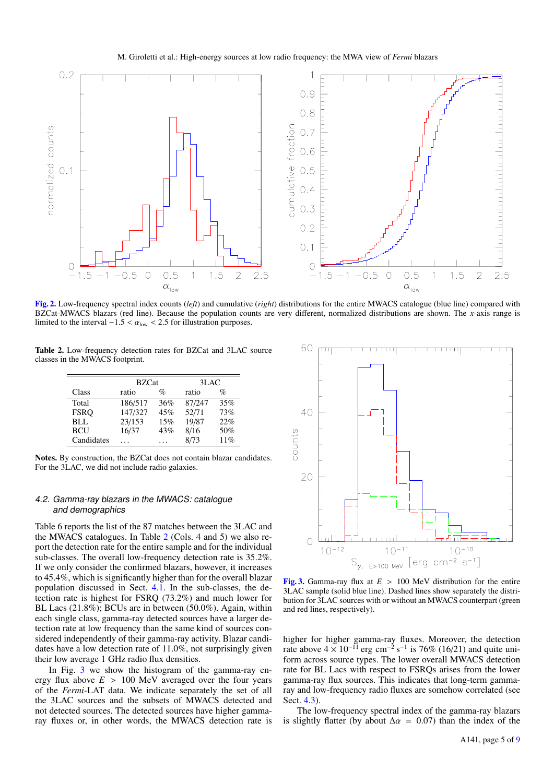<span id="page-4-0"></span>

<span id="page-4-1"></span>[Fig. 2.](http://dexter.edpsciences.org/applet.php?DOI=10.1051/0004-6361/201527817&pdf_id=2) Low-frequency spectral index counts (*left*) and cumulative (*right*) distributions for the entire MWACS catalogue (blue line) compared with BZCat-MWACS blazars (red line). Because the population counts are very different, normalized distributions are shown. The *x*-axis range is limited to the interval  $-1.5 < α<sub>low</sub> < 2.5$  for illustration purposes.

Table 2. Low-frequency detection rates for BZCat and 3LAC source classes in the MWACS footprint.

|             | <b>BZCat</b> |      | 3LAC   |      |  |
|-------------|--------------|------|--------|------|--|
| Class       | ratio        | $\%$ | ratio  | $\%$ |  |
| Total       | 186/517      | 36%  | 87/247 | 35%  |  |
| <b>FSRO</b> | 147/327      | 45%  | 52/71  | 73%  |  |
| BLL         | 23/153       | 15%  | 19/87  | 22%  |  |
| <b>BCU</b>  | 16/37        | 43%  | 8/16   | 50%  |  |
| Candidates  |              |      | 8/73   | 11%  |  |

Notes. By construction, the BZCat does not contain blazar candidates. For the 3LAC, we did not include radio galaxies.

# 4.2. Gamma-ray blazars in the MWACS: catalogue and demographics

Table 6 reports the list of the 87 matches between the 3LAC and the MWACS catalogues. In Table [2](#page-4-1) (Cols. 4 and 5) we also report the detection rate for the entire sample and for the individual sub-classes. The overall low-frequency detection rate is 35.2%. If we only consider the confirmed blazars, however, it increases to 45.4%, which is significantly higher than for the overall blazar population discussed in Sect. [4.1.](#page-3-2) In the sub-classes, the detection rate is highest for FSRQ (73.2%) and much lower for BL Lacs (21.8%); BCUs are in between (50.0%). Again, within each single class, gamma-ray detected sources have a larger detection rate at low frequency than the same kind of sources considered independently of their gamma-ray activity. Blazar candidates have a low detection rate of 11.0%, not surprisingly given their low average 1 GHz radio flux densities.

In Fig. [3](#page-4-2) we show the histogram of the gamma-ray energy flux above  $E > 100$  MeV averaged over the four years of the *Fermi*-LAT data. We indicate separately the set of all the 3LAC sources and the subsets of MWACS detected and not detected sources. The detected sources have higher gammaray fluxes or, in other words, the MWACS detection rate is

<span id="page-4-2"></span>

[Fig. 3.](http://dexter.edpsciences.org/applet.php?DOI=10.1051/0004-6361/201527817&pdf_id=3) Gamma-ray flux at  $E > 100$  MeV distribution for the entire 3LAC sample (solid blue line). Dashed lines show separately the distribution for 3LAC sources with or without an MWACS counterpart (green and red lines, respectively).

higher for higher gamma-ray fluxes. Moreover, the detection rate above  $4 \times 10^{-11}$  erg cm<sup>-2</sup> s<sup>-1</sup> is 76% (16/21) and quite uniform across source types. The lower overall MWACS detection rate for BL Lacs with respect to FSRQs arises from the lower gamma-ray flux sources. This indicates that long-term gammaray and low-frequency radio fluxes are somehow correlated (see Sect. [4.3\)](#page-5-1).

The low-frequency spectral index of the gamma-ray blazars is slightly flatter (by about  $\Delta \alpha = 0.07$ ) than the index of the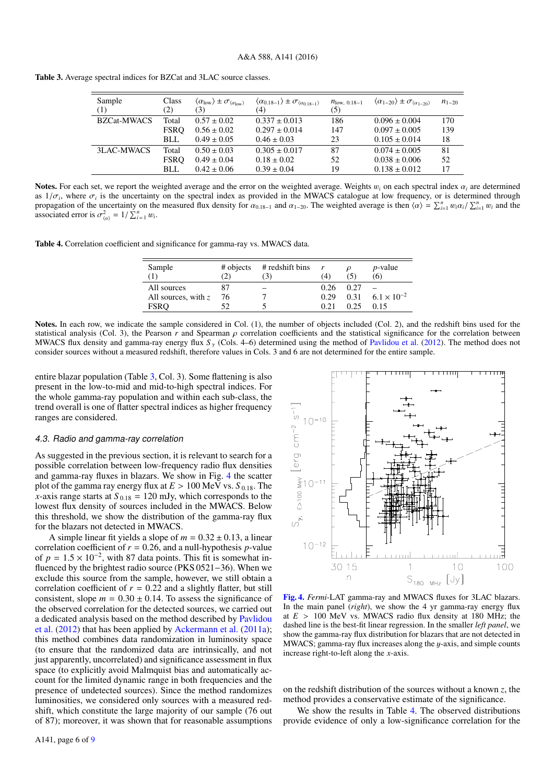<span id="page-5-3"></span>

| Sample<br>(1)      | Class<br>(2) | $\langle \alpha_{\text{low}} \rangle \pm \sigma_{\langle \alpha_{\text{low}} \rangle}$<br>(3) | $\langle \alpha_{0.18-1} \rangle \pm \sigma_{\langle \alpha_{0.18-1} \rangle}$<br>(4) | $n_{\text{low}, 0.18-1}$<br>(5) | $\langle \alpha_{1-20} \rangle \pm \sigma_{\langle \alpha_{1-20} \rangle}$ | $n_{1-20}$ |
|--------------------|--------------|-----------------------------------------------------------------------------------------------|---------------------------------------------------------------------------------------|---------------------------------|----------------------------------------------------------------------------|------------|
| <b>BZCat-MWACS</b> | Total        | $0.57 \pm 0.02$                                                                               | $0.337 \pm 0.013$                                                                     | 186                             | $0.096 \pm 0.004$                                                          | 170        |
|                    | <b>FSRO</b>  | $0.56 \pm 0.02$                                                                               | $0.297 \pm 0.014$                                                                     | 147                             | $0.097 \pm 0.005$                                                          | 139        |
|                    | BLL          | $0.49 \pm 0.05$                                                                               | $0.46 \pm 0.03$                                                                       | 23                              | $0.105 \pm 0.014$                                                          | 18         |
| 3LAC-MWACS         | Total        | $0.50 \pm 0.03$                                                                               | $0.305 \pm 0.017$                                                                     | 87                              | $0.074 \pm 0.005$                                                          | 81         |
|                    | <b>FSRO</b>  | $0.49 \pm 0.04$                                                                               | $0.18 \pm 0.02$                                                                       | 52                              | $0.038 \pm 0.006$                                                          | 52         |
|                    | BLL          | $0.42 \pm 0.06$                                                                               | $0.39 \pm 0.04$                                                                       | 19                              | $0.138 \pm 0.012$                                                          | 17         |

<span id="page-5-0"></span>Table 3. Average spectral indices for BZCat and 3LAC source classes.

Notes. For each set, we report the weighted average and the error on the weighted average. Weights  $w_i$  on each spectral index  $\alpha_i$  are determined as  $1/\sigma_i$ , where  $\sigma_i$  is the uncertainty on the spectral index as provided in the MWACS catalogue at low frequency, or is determined through<br>propagation of the uncertainty on the measured flux density for  $\alpha_0$  as and propagation of the uncertainty on the measured flux density for  $\alpha_{0.18-1}$  and  $\alpha_{1-20}$ . The weighted average is then  $\langle \alpha \rangle = \sum_{i=1}^{n} w_i \alpha_i / \sum_{i=1}^{n} w_i$  and the associated error is  $\sigma^2 = 1 / \sum_{i=1}^{n} w_i$ . associated error is  $\sigma_{\langle \alpha \rangle}^2 = 1/\sum_{i=1}^n w_i$ .

Table 4. Correlation coefficient and significance for gamma-ray vs. MWACS data.

| Sample                | # objects | # redshift bins |      |      | <i>p</i> -value                 |
|-----------------------|-----------|-----------------|------|------|---------------------------------|
|                       |           |                 | (4)  |      | (6)                             |
| All sources           |           |                 | 0.26 | 0.27 |                                 |
| All sources, with $z$ | 76        |                 | 0.29 |      | $0.31 \quad 6.1 \times 10^{-2}$ |
| <b>FSRO</b>           |           |                 | 0.21 | 0.25 | 0.15                            |

Notes. In each row, we indicate the sample considered in Col. (1), the number of objects included (Col. 2), and the redshift bins used for the statistical analysis (Col. 3), the Pearson  $r$  and Spearman  $\rho$  correlation coefficients and the statistical significance for the correlation between MWACS flux density and gamma-ray energy flux *<sup>S</sup>* γ (Cols. 4–6) determined using the method of [Pavlidou et al.](#page-8-13) [\(2012\)](#page-8-13). The method does not consider sources without a measured redshift, therefore values in Cols. 3 and 6 are not determined for the entire sample.

entire blazar population (Table [3,](#page-5-0) Col. 3). Some flattening is also present in the low-to-mid and mid-to-high spectral indices. For the whole gamma-ray population and within each sub-class, the trend overall is one of flatter spectral indices as higher frequency ranges are considered.

#### <span id="page-5-1"></span>4.3. Radio and gamma-ray correlation

As suggested in the previous section, it is relevant to search for a possible correlation between low-frequency radio flux densities and gamma-ray fluxes in blazars. We show in Fig. [4](#page-5-2) the scatter plot of the gamma ray energy flux at  $E > 100$  MeV vs.  $S_{0.18}$ . The *x*-axis range starts at  $S_{0.18} = 120$  mJy, which corresponds to the lowest flux density of sources included in the MWACS. Below this threshold, we show the distribution of the gamma-ray flux for the blazars not detected in MWACS.

A simple linear fit yields a slope of  $m = 0.32 \pm 0.13$ , a linear correlation coefficient of  $r = 0.26$ , and a null-hypothesis *p*-value of  $p = 1.5 \times 10^{-2}$ , with 87 data points. This fit is somewhat in-<br>fluenced by the brightest radio source (PKS 0521–36). When we fluenced by the brightest radio source (PKS 0521−36). When we exclude this source from the sample, however, we still obtain a correlation coefficient of  $r = 0.22$  and a slightly flatter, but still consistent, slope  $m = 0.30 \pm 0.14$ . To assess the significance of the observed correlation for the detected sources, we carried out a dedicated analysis based on the method described by [Pavlidou](#page-8-13) [et al.](#page-8-13) [\(2012\)](#page-8-13) that has been applied by [Ackermann et al.](#page-7-4) [\(2011a\)](#page-7-4); this method combines data randomization in luminosity space (to ensure that the randomized data are intrinsically, and not just apparently, uncorrelated) and significance assessment in flux space (to explicitly avoid Malmquist bias and automatically account for the limited dynamic range in both frequencies and the presence of undetected sources). Since the method randomizes luminosities, we considered only sources with a measured redshift, which constitute the large majority of our sample (76 out of 87); moreover, it was shown that for reasonable assumptions

<span id="page-5-2"></span>

[Fig. 4.](http://dexter.edpsciences.org/applet.php?DOI=10.1051/0004-6361/201527817&pdf_id=4) *Fermi*-LAT gamma-ray and MWACS fluxes for 3LAC blazars. In the main panel (*right*), we show the 4 yr gamma-ray energy flux at  $E > 100$  MeV vs. MWACS radio flux density at 180 MHz; the dashed line is the best-fit linear regression. In the smaller *left panel*, we show the gamma-ray flux distribution for blazars that are not detected in MWACS; gamma-ray flux increases along the y-axis, and simple counts increase right-to-left along the *x*-axis.

on the redshift distribution of the sources without a known *<sup>z</sup>*, the method provides a conservative estimate of the significance.

We show the results in Table [4.](#page-5-3) The observed distributions provide evidence of only a low-significance correlation for the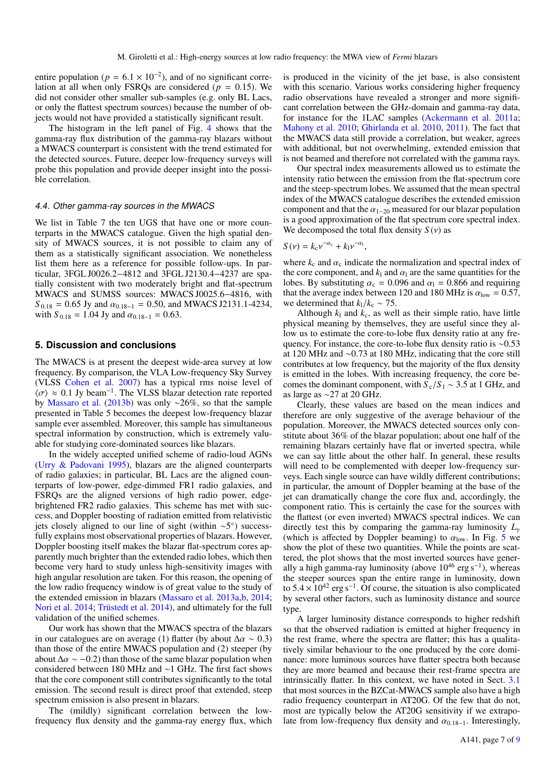entire population ( $p = 6.1 \times 10^{-2}$ ), and of no significant corre-<br>lation at all when only ESROs are considered ( $n = 0.15$ ). We lation at all when only FSRQs are considered ( $p = 0.15$ ). We did not consider other smaller sub-samples (e.g. only BL Lacs, or only the flattest spectrum sources) because the number of objects would not have provided a statistically significant result.

The histogram in the left panel of Fig. [4](#page-5-2) shows that the gamma-ray flux distribution of the gamma-ray blazars without a MWACS counterpart is consistent with the trend estimated for the detected sources. Future, deeper low-frequency surveys will probe this population and provide deeper insight into the possible correlation.

#### 4.4. Other gamma-ray sources in the MWACS

We list in Table 7 the ten UGS that have one or more counterparts in the MWACS catalogue. Given the high spatial density of MWACS sources, it is not possible to claim any of them as a statistically significant association. We nonetheless list them here as a reference for possible follow-ups. In particular, 3FGL J0026.2−4812 and 3FGL J2130.4−4237 are spatially consistent with two moderately bright and flat-spectrum MWACS and SUMSS sources: MWACS J0025.6−4816, with  $S_{0.18} = 0.65$  Jy and  $\alpha_{0.18-1} = 0.50$ , and MWACS J2131.1-4234, with  $S_{0.18} = 1.04$  Jy and  $\alpha_{0.18-1} = 0.63$ .

# <span id="page-6-0"></span>**5. Discussion and conclusions**

The MWACS is at present the deepest wide-area survey at low frequency. By comparison, the VLA Low-frequency Sky Survey (VLSS [Cohen et al.](#page-7-9) [2007\)](#page-7-9) has a typical rms noise level of  $\langle \sigma \rangle \approx 0.1$  Jy beam<sup>-1</sup>. The VLSS blazar detection rate reported<br>by Massaro et al. (2013b) was only ~26% so that the sample by [Massaro et al.](#page-8-3) [\(2013b\)](#page-8-3) was only ∼26%, so that the sample presented in Table 5 becomes the deepest low-frequency blazar sample ever assembled. Moreover, this sample has simultaneous spectral information by construction, which is extremely valuable for studying core-dominated sources like blazars.

In the widely accepted unified scheme of radio-loud AGNs [\(Urry & Padovani](#page-8-14) [1995\)](#page-8-14), blazars are the aligned counterparts of radio galaxies; in particular, BL Lacs are the aligned counterparts of low-power, edge-dimmed FR1 radio galaxies, and FSRQs are the aligned versions of high radio power, edgebrightened FR2 radio galaxies. This scheme has met with success, and Doppler boosting of radiation emitted from relativistic jets closely aligned to our line of sight (within ~5°) successfully explains most observational properties of blazars. However, Doppler boosting itself makes the blazar flat-spectrum cores apparently much brighter than the extended radio lobes, which then become very hard to study unless high-sensitivity images with high angular resolution are taken. For this reason, the opening of the low radio frequency window is of great value to the study of the extended emission in blazars [\(Massaro et al.](#page-8-1) [2013a,](#page-8-1)[b,](#page-8-3) [2014;](#page-8-12) [Nori et al.](#page-8-2) [2014;](#page-8-2) [Trüstedt et al.](#page-8-15) [2014\)](#page-8-15), and ultimately for the full validation of the unified schemes.

Our work has shown that the MWACS spectra of the blazars in our catalogues are on average (1) flatter (by about  $\Delta \alpha \sim 0.3$ ) than those of the entire MWACS population and (2) steeper (by about  $\Delta \alpha \sim -0.2$ ) than those of the same blazar population when considered between 180 MHz and ∼1 GHz. The first fact shows that the core component still contributes significantly to the total emission. The second result is direct proof that extended, steep spectrum emission is also present in blazars.

The (mildly) significant correlation between the lowfrequency flux density and the gamma-ray energy flux, which is produced in the vicinity of the jet base, is also consistent with this scenario. Various works considering higher frequency radio observations have revealed a stronger and more significant correlation between the GHz-domain and gamma-ray data, for instance for the 1LAC samples [\(Ackermann et al.](#page-7-4) [2011a;](#page-7-4) [Mahony et al.](#page-8-10) [2010;](#page-8-10) [Ghirlanda et al.](#page-7-10) [2010,](#page-7-10) [2011\)](#page-7-11). The fact that the MWACS data still provide a correlation, but weaker, agrees with additional, but not overwhelming, extended emission that is not beamed and therefore not correlated with the gamma rays.

Our spectral index measurements allowed us to estimate the intensity ratio between the emission from the flat-spectrum core and the steep-spectrum lobes. We assumed that the mean spectral index of the MWACS catalogue describes the extended emission component and that the  $\alpha_{1-20}$  measured for our blazar population is a good approximation of the flat spectrum core spectral index. We decomposed the total flux density  $S(v)$  as

$$
S(v) = k_{c}v^{-\alpha_{c}} + k_{1}v^{-\alpha_{1}},
$$

where  $k_c$  and  $\alpha_c$  indicate the normalization and spectral index of the core component, and  $k_1$  and  $\alpha_1$  are the same quantities for the lobes. By substituting  $\alpha_c = 0.096$  and  $\alpha_l = 0.866$  and requiring that the average index between 120 and 180 MHz is  $\alpha_{\text{low}} = 0.57$ , we determined that  $k_1/k_c \sim 75$ .

Although  $k_1$  and  $k_c$ , as well as their simple ratio, have little physical meaning by themselves, they are useful since they allow us to estimate the core-to-lobe flux density ratio at any frequency. For instance, the core-to-lobe flux density ratio is ∼0.53 at 120 MHz and ∼0.73 at 180 MHz, indicating that the core still contributes at low frequency, but the majority of the flux density is emitted in the lobes. With increasing frequency, the core becomes the dominant component, with  $S_c/S_1 \sim 3.5$  at 1 GHz, and as large as ∼27 at 20 GHz.

Clearly, these values are based on the mean indices and therefore are only suggestive of the average behaviour of the population. Moreover, the MWACS detected sources only constitute about 36% of the blazar population; about one half of the remaining blazars certainly have flat or inverted spectra, while we can say little about the other half. In general, these results will need to be complemented with deeper low-frequency surveys. Each single source can have wildly different contributions; in particular, the amount of Doppler beaming at the base of the jet can dramatically change the core flux and, accordingly, the component ratio. This is certainly the case for the sources with the flattest (or even inverted) MWACS spectral indices. We can directly test this by comparing the gamma-ray luminosity *<sup>L</sup>*γ (which is affected by Doppler beaming) to  $\alpha_{\text{low}}$ . In Fig. [5](#page-7-12) we show the plot of these two quantities. While the points are scattered, the plot shows that the most inverted sources have generally a high gamma-ray luminosity (above  $10^{46}$  erg s<sup>-1</sup>), whereas the steeper sources span the entire range in luminosity, down to  $5.4 \times 10^{42}$  erg s<sup>-1</sup>. Of course, the situation is also complicated<br>by several other factors, such as luminosity distance and source by several other factors, such as luminosity distance and source type.

A larger luminosity distance corresponds to higher redshift so that the observed radiation is emitted at higher frequency in the rest frame, where the spectra are flatter; this has a qualitatively similar behaviour to the one produced by the core dominance: more luminous sources have flatter spectra both because they are more beamed and because their rest-frame spectra are intrinsically flatter. In this context, we have noted in Sect. [3.1](#page-2-3) that most sources in the BZCat-MWACS sample also have a high radio frequency counterpart in AT20G. Of the few that do not, most are typically below the AT20G sensitivity if we extrapolate from low-frequency flux density and  $\alpha_{0.18-1}$ . Interestingly,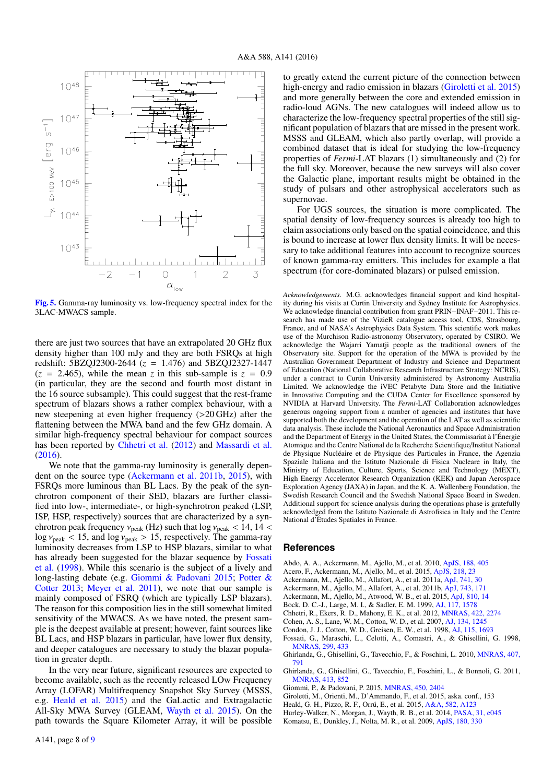<span id="page-7-12"></span>

[Fig. 5.](http://dexter.edpsciences.org/applet.php?DOI=10.1051/0004-6361/201527817&pdf_id=5) Gamma-ray luminosity vs. low-frequency spectral index for the 3LAC-MWACS sample.

there are just two sources that have an extrapolated 20 GHz flux density higher than 100 mJy and they are both FSRQs at high redshift: 5BZQJ2300-2644 (*<sup>z</sup>* <sup>=</sup> <sup>1</sup>.476) and 5BZQJ2327-1447  $(z = 2.465)$ , while the mean *z* in this sub-sample is  $z = 0.9$ (in particular, they are the second and fourth most distant in the 16 source subsample). This could suggest that the rest-frame spectrum of blazars shows a rather complex behaviour, with a new steepening at even higher frequency (>20 GHz) after the flattening between the MWA band and the few GHz domain. A similar high-frequency spectral behaviour for compact sources has been reported by [Chhetri et al.](#page-7-13) [\(2012\)](#page-7-13) and [Massardi et al.](#page-8-16)  $(2016).$  $(2016).$ 

We note that the gamma-ray luminosity is generally dependent on the source type [\(Ackermann et al.](#page-7-8) [2011b,](#page-7-8) [2015\)](#page-7-3), with FSRQs more luminous than BL Lacs. By the peak of the synchrotron component of their SED, blazars are further classified into low-, intermediate-, or high-synchrotron peaked (LSP, ISP, HSP, respectively) sources that are characterized by a synchrotron peak frequency  $v_{\text{peak}}$  (Hz) such that log  $v_{\text{peak}} < 14$ , 14 < log  $v_{\text{peak}} < 15$ , and log  $v_{\text{peak}} > 15$ , respectively. The gamma-ray luminosity decreases from LSP to HSP blazars, similar to what has already been suggested for the blazar sequence by [Fossati](#page-7-14) [et al.](#page-7-14) [\(1998\)](#page-7-14). While this scenario is the subject of a lively and long-lasting debate (e.g. [Giommi & Padovani](#page-7-15) [2015;](#page-7-15) [Potter &](#page-8-17) [Cotter](#page-8-17) [2013;](#page-8-17) [Meyer et al.](#page-8-18) [2011\)](#page-8-18), we note that our sample is mainly composed of FSRQ (which are typically LSP blazars). The reason for this composition lies in the still somewhat limited sensitivity of the MWACS. As we have noted, the present sample is the deepest available at present; however, faint sources like BL Lacs, and HSP blazars in particular, have lower flux density, and deeper catalogues are necessary to study the blazar population in greater depth.

In the very near future, significant resources are expected to become available, such as the recently released LOw Frequency Array (LOFAR) Multifrequency Snapshot Sky Survey (MSSS, e.g. [Heald et al.](#page-7-16) [2015\)](#page-7-16) and the GaLactic and Extragalactic All-Sky MWA Survey (GLEAM, [Wayth et al.](#page-8-19) [2015\)](#page-8-19). On the path towards the Square Kilometer Array, it will be possible to greatly extend the current picture of the connection between high-energy and radio emission in blazars [\(Giroletti et al.](#page-7-17) [2015\)](#page-7-17) and more generally between the core and extended emission in radio-loud AGNs. The new catalogues will indeed allow us to characterize the low-frequency spectral properties of the still significant population of blazars that are missed in the present work. MSSS and GLEAM, which also partly overlap, will provide a combined dataset that is ideal for studying the low-frequency properties of *Fermi*-LAT blazars (1) simultaneously and (2) for the full sky. Moreover, because the new surveys will also cover the Galactic plane, important results might be obtained in the study of pulsars and other astrophysical accelerators such as supernovae.

For UGS sources, the situation is more complicated. The spatial density of low-frequency sources is already too high to claim associations only based on the spatial coincidence, and this is bound to increase at lower flux density limits. It will be necessary to take additional features into account to recognize sources of known gamma-ray emitters. This includes for example a flat spectrum (for core-dominated blazars) or pulsed emission.

*Acknowledgements.* M.G. acknowledges financial support and kind hospitality during his visits at Curtin University and Sydney Institute for Astrophysics. We acknowledge financial contribution from grant PRIN−INAF−2011. This research has made use of the VizieR catalogue access tool, CDS, Strasbourg, France, and of NASA's Astrophysics Data System. This scientific work makes use of the Murchison Radio-astronomy Observatory, operated by CSIRO. We acknowledge the Wajarri Yamatji people as the traditional owners of the Observatory site. Support for the operation of the MWA is provided by the Australian Government Department of Industry and Science and Department of Education (National Collaborative Research Infrastructure Strategy: NCRIS), under a contract to Curtin University administered by Astronomy Australia Limited. We acknowledge the iVEC Petabyte Data Store and the Initiative in Innovative Computing and the CUDA Center for Excellence sponsored by NVIDIA at Harvard University. The *Fermi*-LAT Collaboration acknowledges generous ongoing support from a number of agencies and institutes that have supported both the development and the operation of the LAT as well as scientific data analysis. These include the National Aeronautics and Space Administration and the Department of Energy in the United States, the Commissariat à l'Énergie Atomique and the Centre National de la Recherche Scientifique/Institut National de Physique Nucléaire et de Physique des Particules in France, the Agenzia Spaziale Italiana and the Istituto Nazionale di Fisica Nucleare in Italy, the Ministry of Education, Culture, Sports, Science and Technology (MEXT), High Energy Accelerator Research Organization (KEK) and Japan Aerospace Exploration Agency (JAXA) in Japan, and the K. A. Wallenberg Foundation, the Swedish Research Council and the Swedish National Space Board in Sweden. Additional support for science analysis during the operations phase is gratefully acknowledged from the Istituto Nazionale di Astrofisica in Italy and the Centre National d'Études Spatiales in France.

#### <span id="page-7-15"></span><span id="page-7-14"></span><span id="page-7-13"></span><span id="page-7-11"></span><span id="page-7-10"></span><span id="page-7-9"></span><span id="page-7-8"></span><span id="page-7-7"></span><span id="page-7-6"></span><span id="page-7-4"></span><span id="page-7-3"></span><span id="page-7-1"></span><span id="page-7-0"></span>**References**

- <span id="page-7-17"></span>Abdo, A. A., Ackermann, M., Ajello, M., et al. 2010, [ApJS, 188, 405](http://linker.aanda.org/10.1051/0004-6361/201527817/1)
- <span id="page-7-16"></span>Acero, F., Ackermann, M., Ajello, M., et al. 2015, [ApJS, 218, 23](http://linker.aanda.org/10.1051/0004-6361/201527817/2)
- <span id="page-7-2"></span>Ackermann, M., Ajello, M., Allafort, A., et al. 2011a, [ApJ, 741, 30](http://linker.aanda.org/10.1051/0004-6361/201527817/3)
- <span id="page-7-5"></span>Ackermann, M., Ajello, M., Allafort, A., et al. 2011b, [ApJ, 743, 171](http://linker.aanda.org/10.1051/0004-6361/201527817/4)
- Ackermann, M., Ajello, M., Atwood, W. B., et al. 2015, [ApJ, 810, 14](http://linker.aanda.org/10.1051/0004-6361/201527817/5)
- Bock, D. C.-J., Large, M. I., & Sadler, E. M. 1999, [AJ, 117, 1578](http://linker.aanda.org/10.1051/0004-6361/201527817/6)
- Chhetri, R., Ekers, R. D., Mahony, E. K., et al. 2012, [MNRAS, 422, 2274](http://linker.aanda.org/10.1051/0004-6361/201527817/7)
- Cohen, A. S., Lane, W. M., Cotton, W. D., et al. 2007, [AJ, 134, 1245](http://linker.aanda.org/10.1051/0004-6361/201527817/8)
- Condon, J. J., Cotton, W. D., Greisen, E. W., et al. 1998, [AJ, 115, 1693](http://linker.aanda.org/10.1051/0004-6361/201527817/9)
- Fossati, G., Maraschi, L., Celotti, A., Comastri, A., & Ghisellini, G. 1998, [MNRAS, 299, 433](http://linker.aanda.org/10.1051/0004-6361/201527817/10)
- Ghirlanda, G., Ghisellini, G., Tavecchio, F., & Foschini, L. 2010, [MNRAS, 407,](http://linker.aanda.org/10.1051/0004-6361/201527817/11) [791](http://linker.aanda.org/10.1051/0004-6361/201527817/11)
- Ghirlanda, G., Ghisellini, G., Tavecchio, F., Foschini, L., & Bonnoli, G. 2011, MNR AS 413, 852
- Giommi, P., & Padovani, P. 2015, [MNRAS, 450, 2404](http://linker.aanda.org/10.1051/0004-6361/201527817/13)
- Giroletti, M., Orienti, M., D'Ammando, F., et al. 2015, aska. conf., 153
- Heald, G. H., Pizzo, R. F., Orrú, E., et al. 2015, [A&A, 582, A123](http://linker.aanda.org/10.1051/0004-6361/201527817/15)
- Hurley-Walker, N., Morgan, J., Wayth, R. B., et al. 2014, [PASA, 31, e045](http://linker.aanda.org/10.1051/0004-6361/201527817/16)
- Komatsu, E., Dunkley, J., Nolta, M. R., et al. 2009, [ApJS, 180, 330](http://linker.aanda.org/10.1051/0004-6361/201527817/17)